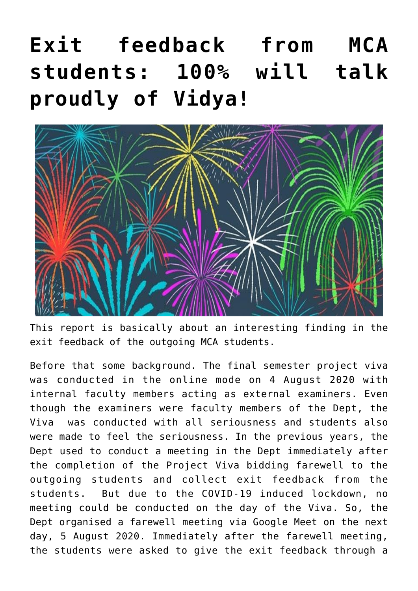## **[Exit feedback from MCA](https://news.vidyaacademy.ac.in/2020/08/12/exit-feedback-from-mca-students-100-will-talk-proudly-of-vidya/) [students: 100% will talk](https://news.vidyaacademy.ac.in/2020/08/12/exit-feedback-from-mca-students-100-will-talk-proudly-of-vidya/) [proudly of Vidya!](https://news.vidyaacademy.ac.in/2020/08/12/exit-feedback-from-mca-students-100-will-talk-proudly-of-vidya/)**



This report is basically about an interesting finding in the exit feedback of the outgoing MCA students.

Before that some background. The final semester project viva was conducted in the online mode on 4 August 2020 with internal faculty members acting as external examiners. Even though the examiners were faculty members of the Dept, the Viva was conducted with all seriousness and students also were made to feel the seriousness. In the previous years, the Dept used to conduct a meeting in the Dept immediately after the completion of the Project Viva bidding farewell to the outgoing students and collect exit feedback from the students. But due to the COVID-19 induced lockdown, no meeting could be conducted on the day of the Viva. So, the Dept organised a farewell meeting via Google Meet on the next day, 5 August 2020. Immediately after the farewell meeting, the students were asked to give the exit feedback through a